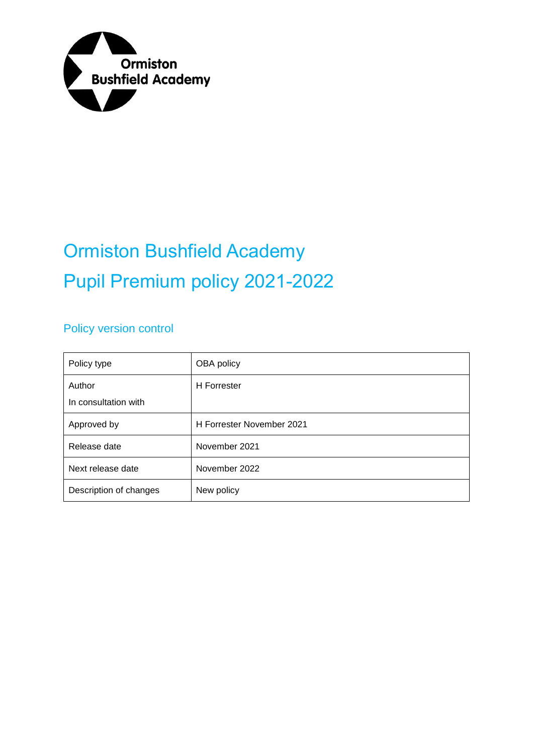

# Ormiston Bushfield Academy Pupil Premium policy 2021-2022

#### Policy version control

| Policy type                    | OBA policy                |
|--------------------------------|---------------------------|
| Author<br>In consultation with | <b>H</b> Forrester        |
| Approved by                    | H Forrester November 2021 |
| Release date                   | November 2021             |
| Next release date              | November 2022             |
| Description of changes         | New policy                |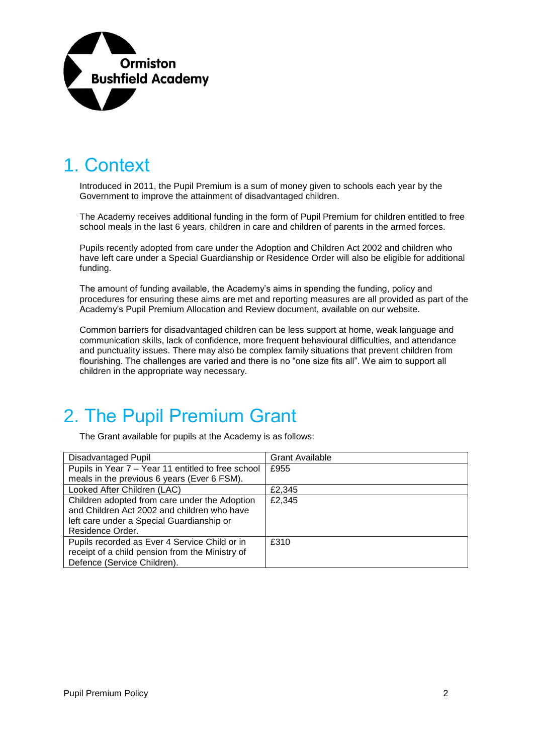

#### 1. Context

Introduced in 2011, the Pupil Premium is a sum of money given to schools each year by the Government to improve the attainment of disadvantaged children.

The Academy receives additional funding in the form of Pupil Premium for children entitled to free school meals in the last 6 years, children in care and children of parents in the armed forces.

Pupils recently adopted from care under the Adoption and Children Act 2002 and children who have left care under a Special Guardianship or Residence Order will also be eligible for additional funding.

The amount of funding available, the Academy's aims in spending the funding, policy and procedures for ensuring these aims are met and reporting measures are all provided as part of the Academy's Pupil Premium Allocation and Review document, available on our website.

Common barriers for disadvantaged children can be less support at home, weak language and communication skills, lack of confidence, more frequent behavioural difficulties, and attendance and punctuality issues. There may also be complex family situations that prevent children from flourishing. The challenges are varied and there is no "one size fits all". We aim to support all children in the appropriate way necessary.

#### 2. The Pupil Premium Grant

The Grant available for pupils at the Academy is as follows:

| <b>Disadvantaged Pupil</b>                         | <b>Grant Available</b> |
|----------------------------------------------------|------------------------|
| Pupils in Year 7 - Year 11 entitled to free school | £955                   |
| meals in the previous 6 years (Ever 6 FSM).        |                        |
| Looked After Children (LAC)                        | £2,345                 |
| Children adopted from care under the Adoption      | £2,345                 |
| and Children Act 2002 and children who have        |                        |
| left care under a Special Guardianship or          |                        |
| Residence Order.                                   |                        |
| Pupils recorded as Ever 4 Service Child or in      | £310                   |
| receipt of a child pension from the Ministry of    |                        |
| Defence (Service Children).                        |                        |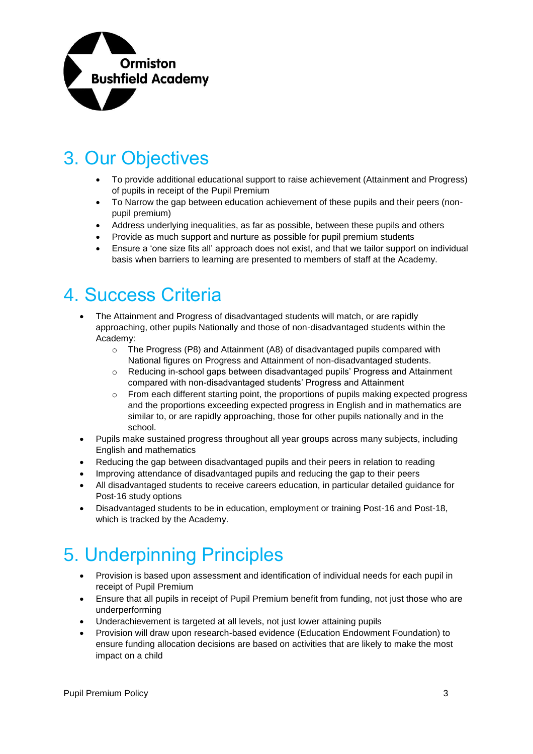

### 3. Our Objectives

- To provide additional educational support to raise achievement (Attainment and Progress) of pupils in receipt of the Pupil Premium
- To Narrow the gap between education achievement of these pupils and their peers (nonpupil premium)
- Address underlying inequalities, as far as possible, between these pupils and others
- Provide as much support and nurture as possible for pupil premium students
- Ensure a 'one size fits all' approach does not exist, and that we tailor support on individual basis when barriers to learning are presented to members of staff at the Academy.

#### 4. Success Criteria

- The Attainment and Progress of disadvantaged students will match, or are rapidly approaching, other pupils Nationally and those of non-disadvantaged students within the Academy:
	- $\circ$  The Progress (P8) and Attainment (A8) of disadvantaged pupils compared with National figures on Progress and Attainment of non-disadvantaged students.
	- o Reducing in-school gaps between disadvantaged pupils' Progress and Attainment compared with non-disadvantaged students' Progress and Attainment
	- $\circ$  From each different starting point, the proportions of pupils making expected progress and the proportions exceeding expected progress in English and in mathematics are similar to, or are rapidly approaching, those for other pupils nationally and in the school.
- Pupils make sustained progress throughout all year groups across many subjects, including English and mathematics
- Reducing the gap between disadvantaged pupils and their peers in relation to reading
- Improving attendance of disadvantaged pupils and reducing the gap to their peers
- All disadvantaged students to receive careers education, in particular detailed guidance for Post-16 study options
- Disadvantaged students to be in education, employment or training Post-16 and Post-18, which is tracked by the Academy.

#### 5. Underpinning Principles

- Provision is based upon assessment and identification of individual needs for each pupil in receipt of Pupil Premium
- Ensure that all pupils in receipt of Pupil Premium benefit from funding, not just those who are underperforming
- Underachievement is targeted at all levels, not just lower attaining pupils
- Provision will draw upon research-based evidence (Education Endowment Foundation) to ensure funding allocation decisions are based on activities that are likely to make the most impact on a child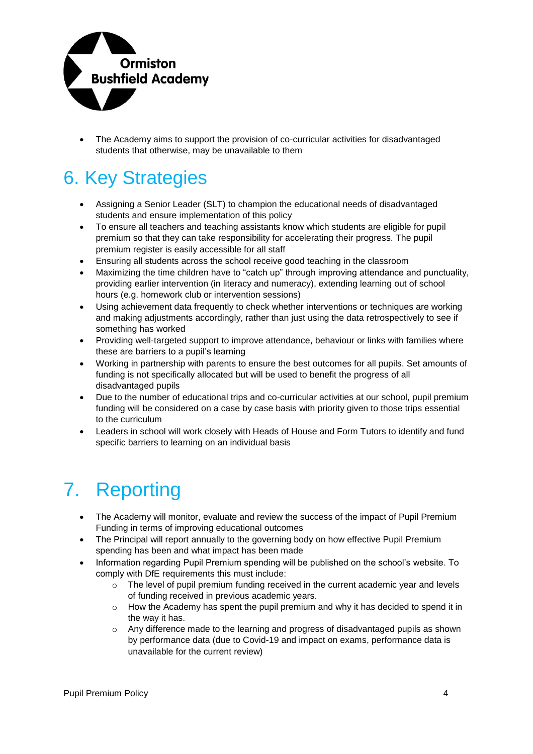

• The Academy aims to support the provision of co-curricular activities for disadvantaged students that otherwise, may be unavailable to them

### 6. Key Strategies

- Assigning a Senior Leader (SLT) to champion the educational needs of disadvantaged students and ensure implementation of this policy
- To ensure all teachers and teaching assistants know which students are eligible for pupil premium so that they can take responsibility for accelerating their progress. The pupil premium register is easily accessible for all staff
- Ensuring all students across the school receive good teaching in the classroom
- Maximizing the time children have to "catch up" through improving attendance and punctuality, providing earlier intervention (in literacy and numeracy), extending learning out of school hours (e.g. homework club or intervention sessions)
- Using achievement data frequently to check whether interventions or techniques are working and making adjustments accordingly, rather than just using the data retrospectively to see if something has worked
- Providing well-targeted support to improve attendance, behaviour or links with families where these are barriers to a pupil's learning
- Working in partnership with parents to ensure the best outcomes for all pupils. Set amounts of funding is not specifically allocated but will be used to benefit the progress of all disadvantaged pupils
- Due to the number of educational trips and co-curricular activities at our school, pupil premium funding will be considered on a case by case basis with priority given to those trips essential to the curriculum
- Leaders in school will work closely with Heads of House and Form Tutors to identify and fund specific barriers to learning on an individual basis

## 7. Reporting

- The Academy will monitor, evaluate and review the success of the impact of Pupil Premium Funding in terms of improving educational outcomes
- The Principal will report annually to the governing body on how effective Pupil Premium spending has been and what impact has been made
- Information regarding Pupil Premium spending will be published on the school's website. To comply with DfE requirements this must include:
	- $\circ$  The level of pupil premium funding received in the current academic year and levels of funding received in previous academic years.
	- $\circ$  How the Academy has spent the pupil premium and why it has decided to spend it in the way it has.
	- o Any difference made to the learning and progress of disadvantaged pupils as shown by performance data (due to Covid-19 and impact on exams, performance data is unavailable for the current review)